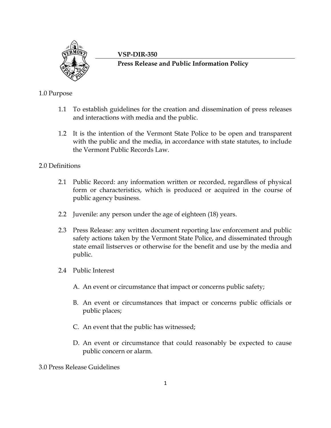

#### **VSP-DIR-350**

**Press Release and Public Information Policy**

# 1.0 Purpose

- 1.1 To establish guidelines for the creation and dissemination of press releases and interactions with media and the public.
- 1.2 It is the intention of the Vermont State Police to be open and transparent with the public and the media, in accordance with state statutes, to include the Vermont Public Records Law.

# 2.0 Definitions

- 2.1 Public Record: any information written or recorded, regardless of physical form or characteristics, which is produced or acquired in the course of public agency business.
- 2.2 Juvenile: any person under the age of eighteen (18) years.
- 2.3 Press Release: any written document reporting law enforcement and public safety actions taken by the Vermont State Police, and disseminated through state email listserves or otherwise for the benefit and use by the media and public.
- 2.4 Public Interest
	- A. An event or circumstance that impact or concerns public safety;
	- B. An event or circumstances that impact or concerns public officials or public places;
	- C. An event that the public has witnessed;
	- D. An event or circumstance that could reasonably be expected to cause public concern or alarm.
- 3.0 Press Release Guidelines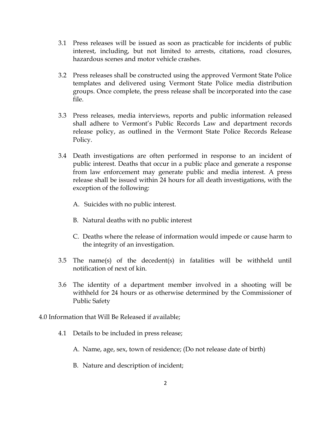- 3.1 Press releases will be issued as soon as practicable for incidents of public interest, including, but not limited to arrests, citations, road closures, hazardous scenes and motor vehicle crashes.
- 3.2 Press releases shall be constructed using the approved Vermont State Police templates and delivered using Vermont State Police media distribution groups. Once complete, the press release shall be incorporated into the case file.
- 3.3 Press releases, media interviews, reports and public information released shall adhere to Vermont's Public Records Law and department records release policy, as outlined in the Vermont State Police Records Release Policy.
- 3.4 Death investigations are often performed in response to an incident of public interest. Deaths that occur in a public place and generate a response from law enforcement may generate public and media interest. A press release shall be issued within 24 hours for all death investigations, with the exception of the following:
	- A. Suicides with no public interest.
	- B. Natural deaths with no public interest
	- C. Deaths where the release of information would impede or cause harm to the integrity of an investigation.
- 3.5 The name(s) of the decedent(s) in fatalities will be withheld until notification of next of kin.
- 3.6 The identity of a department member involved in a shooting will be withheld for 24 hours or as otherwise determined by the Commissioner of Public Safety
- 4.0 Information that Will Be Released if available;
	- 4.1 Details to be included in press release;
		- A. Name, age, sex, town of residence; (Do not release date of birth)
		- B. Nature and description of incident;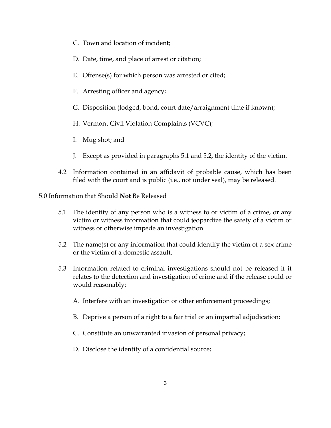- C. Town and location of incident;
- D. Date, time, and place of arrest or citation;
- E. Offense(s) for which person was arrested or cited;
- F. Arresting officer and agency;
- G. Disposition (lodged, bond, court date/arraignment time if known);
- H. Vermont Civil Violation Complaints (VCVC);
- I. Mug shot; and
- J. Except as provided in paragraphs 5.1 and 5.2, the identity of the victim.
- 4.2 Information contained in an affidavit of probable cause, which has been filed with the court and is public (i.e., not under seal), may be released.

5.0 Information that Should **Not** Be Released

- 5.1 The identity of any person who is a witness to or victim of a crime, or any victim or witness information that could jeopardize the safety of a victim or witness or otherwise impede an investigation.
- 5.2 The name(s) or any information that could identify the victim of a sex crime or the victim of a domestic assault.
- 5.3 Information related to criminal investigations should not be released if it relates to the detection and investigation of crime and if the release could or would reasonably:
	- A. Interfere with an investigation or other enforcement proceedings;
	- B. Deprive a person of a right to a fair trial or an impartial adjudication;
	- C. Constitute an unwarranted invasion of personal privacy;
	- D. Disclose the identity of a confidential source;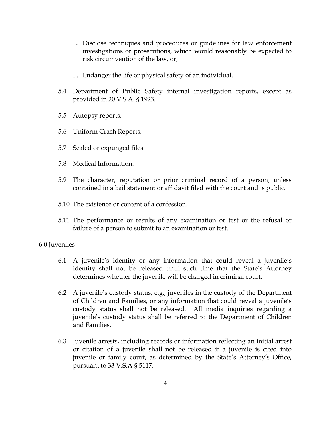- E. Disclose techniques and procedures or guidelines for law enforcement investigations or prosecutions, which would reasonably be expected to risk circumvention of the law, or;
- F. Endanger the life or physical safety of an individual.
- 5.4 Department of Public Safety internal investigation reports, except as provided in 20 V.S.A. § 1923.
- 5.5 Autopsy reports.
- 5.6 Uniform Crash Reports.
- 5.7 Sealed or expunged files.
- 5.8 Medical Information.
- 5.9 The character, reputation or prior criminal record of a person, unless contained in a bail statement or affidavit filed with the court and is public.
- 5.10 The existence or content of a confession.
- 5.11 The performance or results of any examination or test or the refusal or failure of a person to submit to an examination or test.

#### 6.0 Juveniles

- 6.1 A juvenile's identity or any information that could reveal a juvenile's identity shall not be released until such time that the State's Attorney determines whether the juvenile will be charged in criminal court.
- 6.2 A juvenile's custody status, e.g., juveniles in the custody of the Department of Children and Families, or any information that could reveal a juvenile's custody status shall not be released. All media inquiries regarding a juvenile's custody status shall be referred to the Department of Children and Families.
- 6.3 Juvenile arrests, including records or information reflecting an initial arrest or citation of a juvenile shall not be released if a juvenile is cited into juvenile or family court, as determined by the State's Attorney's Office, pursuant to 33 V.S.A § 5117.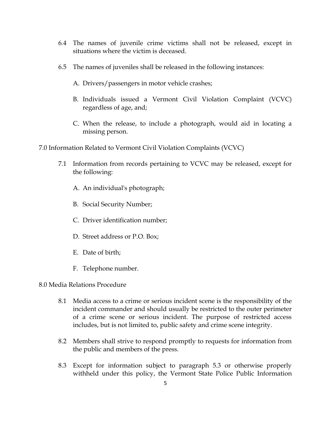- 6.4 The names of juvenile crime victims shall not be released, except in situations where the victim is deceased.
- 6.5 The names of juveniles shall be released in the following instances:
	- A. Drivers/passengers in motor vehicle crashes;
	- B. Individuals issued a Vermont Civil Violation Complaint (VCVC) regardless of age, and;
	- C. When the release, to include a photograph, would aid in locating a missing person.

7.0 Information Related to Vermont Civil Violation Complaints (VCVC)

- 7.1 Information from records pertaining to VCVC may be released, except for the following:
	- A. An individual's photograph;
	- B. Social Security Number;
	- C. Driver identification number;
	- D. Street address or P.O. Box;
	- E. Date of birth;
	- F. Telephone number.

8.0 Media Relations Procedure

- 8.1 Media access to a crime or serious incident scene is the responsibility of the incident commander and should usually be restricted to the outer perimeter of a crime scene or serious incident. The purpose of restricted access includes, but is not limited to, public safety and crime scene integrity.
- 8.2 Members shall strive to respond promptly to requests for information from the public and members of the press.
- 8.3 Except for information subject to paragraph 5.3 or otherwise properly withheld under this policy, the Vermont State Police Public Information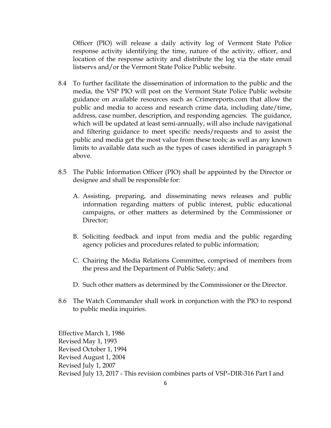Officer (PIO) will release a daily activity log of Vermont State Police response activity identifying the time, nature of the activity, officer, and location of the response activity and distribute the log via the state email listservs and/or the Vermont State Police Public website.

- 8.4 To further facilitate the dissemination of information to the public and the media, the VSP PIO will post on the Vermont State Police Public website guidance on available resources such as Crimereports.com that allow the public and media to access and research crime data, including date/time, address, case number, description, and responding agencies. The guidance, which will be updated at least semi-annually, will also include navigational and filtering guidance to meet specific needs/requests and to assist the public and media get the most value from these tools; as well as any known limits to available data such as the types of cases identified in paragraph 5 above.
- 8.5 The Public Information Officer (PIO) shall be appointed by the Director or designee and shall be responsible for:
	- A. Assisting, preparing, and disseminating news releases and public information regarding matters of public interest, public educational campaigns, or other matters as determined by the Commissioner or Director;
	- B. Soliciting feedback and input from media and the public regarding agency policies and procedures related to public information;
	- C. Chairing the Media Relations Committee, comprised of members from the press and the Department of Public Safety; and
	- D. Such other matters as determined by the Commissioner or the Director.
- 8.6 The Watch Commander shall work in conjunction with the PIO to respond to public media inquiries.

Effective March 1, 1986 Revised May 1, 1993 Revised October 1, 1994 Revised August 1, 2004 Revised July 1, 2007 Revised July 13, 2017 - This revision combines parts of VSP–DIR-316 Part I and